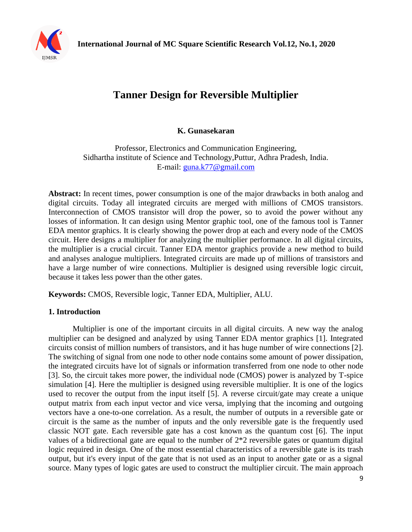

# **Tanner Design for Reversible Multiplier**

**K. Gunasekaran**

Professor, Electronics and Communication Engineering, Sidhartha institute of Science and Technology,Puttur, Adhra Pradesh, India. E-mail: [guna.k77@gmail.com](mailto:guna.k77@gmail.com)

**Abstract:** In recent times, power consumption is one of the major drawbacks in both analog and digital circuits. Today all integrated circuits are merged with millions of CMOS transistors. Interconnection of CMOS transistor will drop the power, so to avoid the power without any losses of information. It can design using Mentor graphic tool, one of the famous tool is Tanner EDA mentor graphics. It is clearly showing the power drop at each and every node of the CMOS circuit. Here designs a multiplier for analyzing the multiplier performance. In all digital circuits, the multiplier is a crucial circuit. Tanner EDA mentor graphics provide a new method to build and analyses analogue multipliers. Integrated circuits are made up of millions of transistors and have a large number of wire connections. Multiplier is designed using reversible logic circuit, because it takes less power than the other gates.

**Keywords:** CMOS, Reversible logic, Tanner EDA, Multiplier, ALU.

## **1. Introduction**

Multiplier is one of the important circuits in all digital circuits. A new way the analog multiplier can be designed and analyzed by using Tanner EDA mentor graphics [1]. Integrated circuits consist of million numbers of transistors, and it has huge number of wire connections [2]. The switching of signal from one node to other node contains some amount of power dissipation, the integrated circuits have lot of signals or information transferred from one node to other node [3]. So, the circuit takes more power, the individual node (CMOS) power is analyzed by T-spice simulation [4]. Here the multiplier is designed using reversible multiplier. It is one of the logics used to recover the output from the input itself [5]. A reverse circuit/gate may create a unique output matrix from each input vector and vice versa, implying that the incoming and outgoing vectors have a one-to-one correlation. As a result, the number of outputs in a reversible gate or circuit is the same as the number of inputs and the only reversible gate is the frequently used classic NOT gate. Each reversible gate has a cost known as the quantum cost [6]. The input values of a bidirectional gate are equal to the number of 2\*2 reversible gates or quantum digital logic required in design. One of the most essential characteristics of a reversible gate is its trash output, but it's every input of the gate that is not used as an input to another gate or as a signal source. Many types of logic gates are used to construct the multiplier circuit. The main approach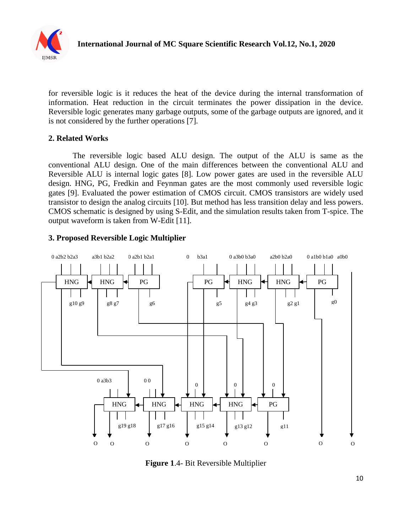

for reversible logic is it reduces the heat of the device during the internal transformation of information. Heat reduction in the circuit terminates the power dissipation in the device. Reversible logic generates many garbage outputs, some of the garbage outputs are ignored, and it is not considered by the further operations [7].

#### **2. Related Works**

The reversible logic based ALU design. The output of the ALU is same as the conventional ALU design. One of the main differences between the conventional ALU and Reversible ALU is internal logic gates [8]. Low power gates are used in the reversible ALU design. HNG, PG, Fredkin and Feynman gates are the most commonly used reversible logic gates [9]. Evaluated the power estimation of CMOS circuit. CMOS transistors are widely used transistor to design the analog circuits [10]. But method has less transition delay and less powers. CMOS schematic is designed by using S-Edit, and the simulation results taken from T-spice. The output waveform is taken from W-Edit [11].

#### **3. Proposed Reversible Logic Multiplier**



**Figure 1**.4- Bit Reversible Multiplier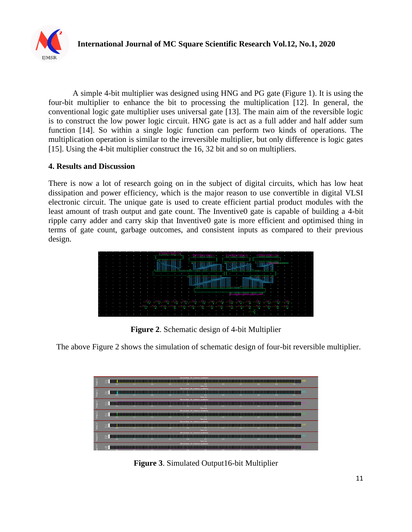

A simple 4-bit multiplier was designed using HNG and PG gate (Figure 1). It is using the four-bit multiplier to enhance the bit to processing the multiplication [12]. In general, the conventional logic gate multiplier uses universal gate [13]. The main aim of the reversible logic is to construct the low power logic circuit. HNG gate is act as a full adder and half adder sum function [14]. So within a single logic function can perform two kinds of operations. The multiplication operation is similar to the irreversible multiplier, but only difference is logic gates [15]. Using the 4-bit multiplier construct the 16, 32 bit and so on multipliers.

#### **4. Results and Discussion**

There is now a lot of research going on in the subject of digital circuits, which has low heat dissipation and power efficiency, which is the major reason to use convertible in digital VLSI electronic circuit. The unique gate is used to create efficient partial product modules with the least amount of trash output and gate count. The Inventive0 gate is capable of building a 4-bit ripple carry adder and carry skip that Inventive0 gate is more efficient and optimised thing in terms of gate count, garbage outcomes, and consistent inputs as compared to their previous design.

|  |  |  |  |  |  |  | <del>هي</del> يس. |  |  |                          |  |     |  |  |  |  |
|--|--|--|--|--|--|--|-------------------|--|--|--------------------------|--|-----|--|--|--|--|
|  |  |  |  |  |  |  |                   |  |  |                          |  |     |  |  |  |  |
|  |  |  |  |  |  |  |                   |  |  |                          |  |     |  |  |  |  |
|  |  |  |  |  |  |  |                   |  |  | ,,,,,,,,,,,,,,,,,,,,,,,, |  |     |  |  |  |  |
|  |  |  |  |  |  |  |                   |  |  |                          |  |     |  |  |  |  |
|  |  |  |  |  |  |  |                   |  |  |                          |  |     |  |  |  |  |
|  |  |  |  |  |  |  |                   |  |  |                          |  |     |  |  |  |  |
|  |  |  |  |  |  |  |                   |  |  |                          |  |     |  |  |  |  |
|  |  |  |  |  |  |  |                   |  |  |                          |  | . . |  |  |  |  |
|  |  |  |  |  |  |  |                   |  |  |                          |  |     |  |  |  |  |

**Figure 2**. Schematic design of 4-bit Multiplier

The above Figure 2 shows the simulation of schematic design of four-bit reversible multiplier.



**Figure 3**. Simulated Output16-bit Multiplier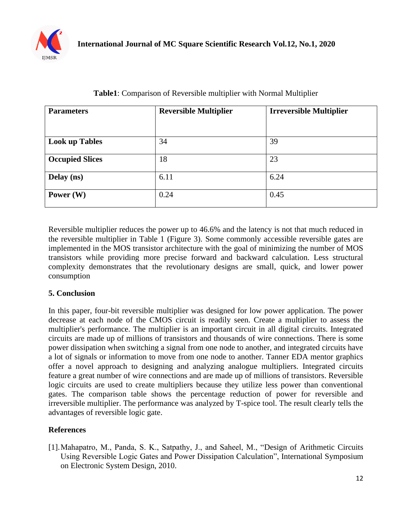

| <b>Parameters</b>      | <b>Reversible Multiplier</b> | <b>Irreversible Multiplier</b> |  |  |  |  |  |  |
|------------------------|------------------------------|--------------------------------|--|--|--|--|--|--|
|                        |                              |                                |  |  |  |  |  |  |
| <b>Look up Tables</b>  | 34                           | 39                             |  |  |  |  |  |  |
| <b>Occupied Slices</b> | 18                           | 23                             |  |  |  |  |  |  |
| Delay (ns)             | 6.11                         | 6.24                           |  |  |  |  |  |  |
| Power $(W)$            | 0.24                         | 0.45                           |  |  |  |  |  |  |

## **Table1**: Comparison of Reversible multiplier with Normal Multiplier

Reversible multiplier reduces the power up to 46.6% and the latency is not that much reduced in the reversible multiplier in Table 1 (Figure 3). Some commonly accessible reversible gates are implemented in the MOS transistor architecture with the goal of minimizing the number of MOS transistors while providing more precise forward and backward calculation. Less structural complexity demonstrates that the revolutionary designs are small, quick, and lower power consumption

### **5. Conclusion**

In this paper, four-bit reversible multiplier was designed for low power application. The power decrease at each node of the CMOS circuit is readily seen. Create a multiplier to assess the multiplier's performance. The multiplier is an important circuit in all digital circuits. Integrated circuits are made up of millions of transistors and thousands of wire connections. There is some power dissipation when switching a signal from one node to another, and integrated circuits have a lot of signals or information to move from one node to another. Tanner EDA mentor graphics offer a novel approach to designing and analyzing analogue multipliers. Integrated circuits feature a great number of wire connections and are made up of millions of transistors. Reversible logic circuits are used to create multipliers because they utilize less power than conventional gates. The comparison table shows the percentage reduction of power for reversible and irreversible multiplier. The performance was analyzed by T-spice tool. The result clearly tells the advantages of reversible logic gate.

## **References**

[1].Mahapatro, M., Panda, S. K., Satpathy, J., and Saheel, M., "Design of Arithmetic Circuits Using Reversible Logic Gates and Power Dissipation Calculation", International Symposium on Electronic System Design, 2010.